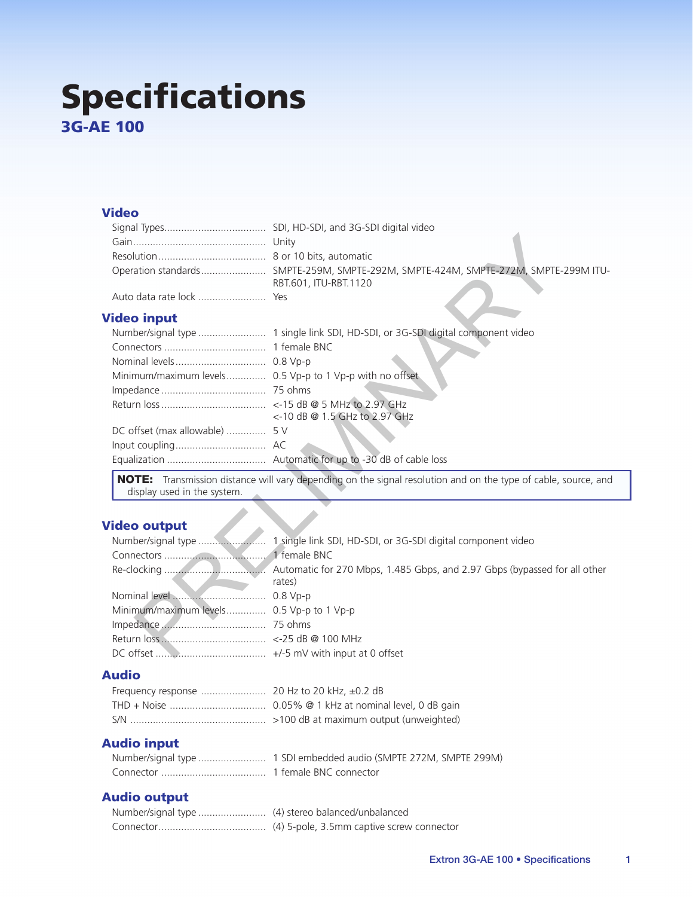# **Specifications 3G-AE 100**

### **Video**

|                   | Operation standards SMPTE-259M, SMPTE-292M, SMPTE-424M, SMPTE-272M, SMPTE-299M ITU-<br>RBT.601, ITU-RBT.1120 |
|-------------------|--------------------------------------------------------------------------------------------------------------|
|                   |                                                                                                              |
| <b>ideo input</b> |                                                                                                              |

## **Video input**

| Minimum/maximum levels 0.5 Vp-p to 1 Vp-p with no offset |                               |
|----------------------------------------------------------|-------------------------------|
|                                                          |                               |
|                                                          |                               |
|                                                          | <-10 dB @ 1.5 GHz to 2.97 GHz |
|                                                          |                               |
|                                                          |                               |
|                                                          |                               |

NOTE: Transmission distance will vary depending on the signal resolution and on the type of cable, source, and display used in the system.

## **Video output**

|                                           | rates) |
|-------------------------------------------|--------|
|                                           |        |
| Minimum/maximum levels 0.5 Vp-p to 1 Vp-p |        |
|                                           |        |
|                                           |        |
|                                           |        |

# **Audio**

## **Audio input**

## **Audio output**